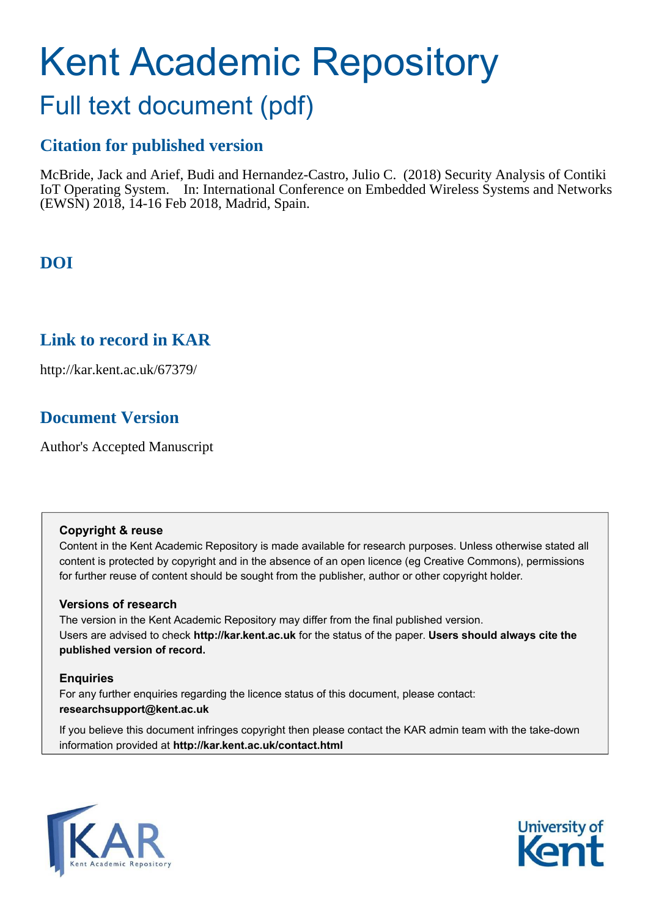# Kent Academic Repository

## Full text document (pdf)

## **Citation for published version**

McBride, Jack and Arief, Budi and Hernandez-Castro, Julio C. (2018) Security Analysis of Contiki IoT Operating System. In: International Conference on Embedded Wireless Systems and Networks (EWSN) 2018, 14-16 Feb 2018, Madrid, Spain.

## **DOI**

## **Link to record in KAR**

http://kar.kent.ac.uk/67379/

## **Document Version**

Author's Accepted Manuscript

#### **Copyright & reuse**

Content in the Kent Academic Repository is made available for research purposes. Unless otherwise stated all content is protected by copyright and in the absence of an open licence (eg Creative Commons), permissions for further reuse of content should be sought from the publisher, author or other copyright holder.

#### **Versions of research**

The version in the Kent Academic Repository may differ from the final published version. Users are advised to check **http://kar.kent.ac.uk** for the status of the paper. **Users should always cite the published version of record.**

#### **Enquiries**

For any further enquiries regarding the licence status of this document, please contact: **researchsupport@kent.ac.uk**

If you believe this document infringes copyright then please contact the KAR admin team with the take-down information provided at **http://kar.kent.ac.uk/contact.html**



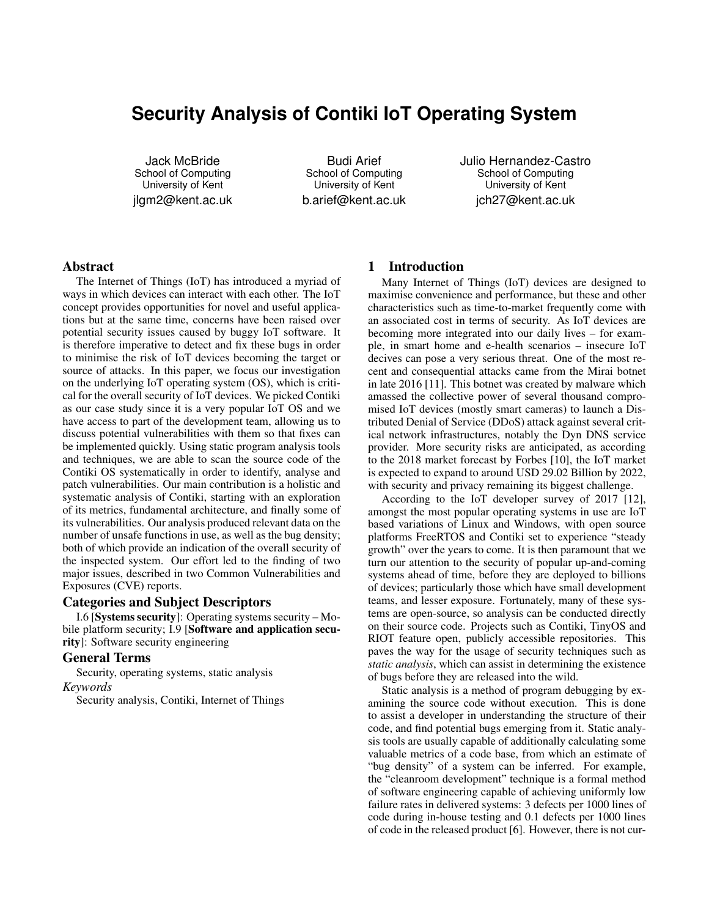### **Security Analysis of Contiki IoT Operating System**

Jack McBride School of Computing University of Kent jlgm2@kent.ac.uk

Budi Arief School of Computing University of Kent b.arief@kent.ac.uk Julio Hernandez-Castro School of Computing University of Kent jch27@kent.ac.uk

#### Abstract

The Internet of Things (IoT) has introduced a myriad of ways in which devices can interact with each other. The IoT concept provides opportunities for novel and useful applications but at the same time, concerns have been raised over potential security issues caused by buggy IoT software. It is therefore imperative to detect and fix these bugs in order to minimise the risk of IoT devices becoming the target or source of attacks. In this paper, we focus our investigation on the underlying IoT operating system (OS), which is critical for the overall security of IoT devices. We picked Contiki as our case study since it is a very popular IoT OS and we have access to part of the development team, allowing us to discuss potential vulnerabilities with them so that fixes can be implemented quickly. Using static program analysis tools and techniques, we are able to scan the source code of the Contiki OS systematically in order to identify, analyse and patch vulnerabilities. Our main contribution is a holistic and systematic analysis of Contiki, starting with an exploration of its metrics, fundamental architecture, and finally some of its vulnerabilities. Our analysis produced relevant data on the number of unsafe functions in use, as well as the bug density; both of which provide an indication of the overall security of the inspected system. Our effort led to the finding of two major issues, described in two Common Vulnerabilities and Exposures (CVE) reports.

#### Categories and Subject Descriptors

I.6 [Systems security]: Operating systems security – Mobile platform security; I.9 [Software and application security]: Software security engineering

#### General Terms

Security, operating systems, static analysis *Keywords*

Security analysis, Contiki, Internet of Things

#### 1 Introduction

Many Internet of Things (IoT) devices are designed to maximise convenience and performance, but these and other characteristics such as time-to-market frequently come with an associated cost in terms of security. As IoT devices are becoming more integrated into our daily lives – for example, in smart home and e-health scenarios – insecure IoT decives can pose a very serious threat. One of the most recent and consequential attacks came from the Mirai botnet in late 2016 [11]. This botnet was created by malware which amassed the collective power of several thousand compromised IoT devices (mostly smart cameras) to launch a Distributed Denial of Service (DDoS) attack against several critical network infrastructures, notably the Dyn DNS service provider. More security risks are anticipated, as according to the 2018 market forecast by Forbes [10], the IoT market is expected to expand to around USD 29.02 Billion by 2022, with security and privacy remaining its biggest challenge.

According to the IoT developer survey of 2017 [12], amongst the most popular operating systems in use are IoT based variations of Linux and Windows, with open source platforms FreeRTOS and Contiki set to experience "steady growth" over the years to come. It is then paramount that we turn our attention to the security of popular up-and-coming systems ahead of time, before they are deployed to billions of devices; particularly those which have small development teams, and lesser exposure. Fortunately, many of these systems are open-source, so analysis can be conducted directly on their source code. Projects such as Contiki, TinyOS and RIOT feature open, publicly accessible repositories. This paves the way for the usage of security techniques such as *static analysis*, which can assist in determining the existence of bugs before they are released into the wild.

Static analysis is a method of program debugging by examining the source code without execution. This is done to assist a developer in understanding the structure of their code, and find potential bugs emerging from it. Static analysis tools are usually capable of additionally calculating some valuable metrics of a code base, from which an estimate of "bug density" of a system can be inferred. For example, the "cleanroom development" technique is a formal method of software engineering capable of achieving uniformly low failure rates in delivered systems: 3 defects per 1000 lines of code during in-house testing and 0.1 defects per 1000 lines of code in the released product [6]. However, there is not cur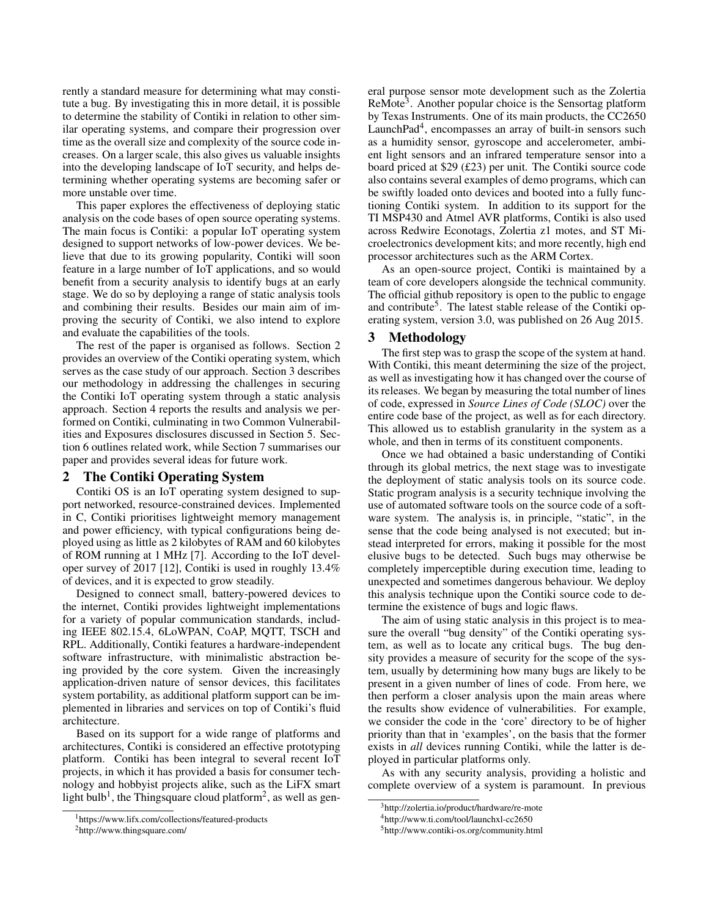rently a standard measure for determining what may constitute a bug. By investigating this in more detail, it is possible to determine the stability of Contiki in relation to other similar operating systems, and compare their progression over time as the overall size and complexity of the source code increases. On a larger scale, this also gives us valuable insights into the developing landscape of IoT security, and helps determining whether operating systems are becoming safer or more unstable over time.

This paper explores the effectiveness of deploying static analysis on the code bases of open source operating systems. The main focus is Contiki: a popular IoT operating system designed to support networks of low-power devices. We believe that due to its growing popularity, Contiki will soon feature in a large number of IoT applications, and so would benefit from a security analysis to identify bugs at an early stage. We do so by deploying a range of static analysis tools and combining their results. Besides our main aim of improving the security of Contiki, we also intend to explore and evaluate the capabilities of the tools.

The rest of the paper is organised as follows. Section 2 provides an overview of the Contiki operating system, which serves as the case study of our approach. Section 3 describes our methodology in addressing the challenges in securing the Contiki IoT operating system through a static analysis approach. Section 4 reports the results and analysis we performed on Contiki, culminating in two Common Vulnerabilities and Exposures disclosures discussed in Section 5. Section 6 outlines related work, while Section 7 summarises our paper and provides several ideas for future work.

#### 2 The Contiki Operating System

Contiki OS is an IoT operating system designed to support networked, resource-constrained devices. Implemented in C, Contiki prioritises lightweight memory management and power efficiency, with typical configurations being deployed using as little as 2 kilobytes of RAM and 60 kilobytes of ROM running at 1 MHz [7]. According to the IoT developer survey of 2017 [12], Contiki is used in roughly 13.4% of devices, and it is expected to grow steadily.

Designed to connect small, battery-powered devices to the internet, Contiki provides lightweight implementations for a variety of popular communication standards, including IEEE 802.15.4, 6LoWPAN, CoAP, MQTT, TSCH and RPL. Additionally, Contiki features a hardware-independent software infrastructure, with minimalistic abstraction being provided by the core system. Given the increasingly application-driven nature of sensor devices, this facilitates system portability, as additional platform support can be implemented in libraries and services on top of Contiki's fluid architecture.

Based on its support for a wide range of platforms and architectures, Contiki is considered an effective prototyping platform. Contiki has been integral to several recent IoT projects, in which it has provided a basis for consumer technology and hobbyist projects alike, such as the LiFX smart light bulb<sup>1</sup>, the Thingsquare cloud platform<sup>2</sup>, as well as general purpose sensor mote development such as the Zolertia ReMote<sup>3</sup>. Another popular choice is the Sensortag platform by Texas Instruments. One of its main products, the CC2650 LaunchPad<sup>4</sup>, encompasses an array of built-in sensors such as a humidity sensor, gyroscope and accelerometer, ambient light sensors and an infrared temperature sensor into a board priced at \$29 (£23) per unit. The Contiki source code also contains several examples of demo programs, which can be swiftly loaded onto devices and booted into a fully functioning Contiki system. In addition to its support for the TI MSP430 and Atmel AVR platforms, Contiki is also used across Redwire Econotags, Zolertia z1 motes, and ST Microelectronics development kits; and more recently, high end processor architectures such as the ARM Cortex.

As an open-source project, Contiki is maintained by a team of core developers alongside the technical community. The official github repository is open to the public to engage and contribute<sup>5</sup>. The latest stable release of the Contiki operating system, version 3.0, was published on 26 Aug 2015.

#### 3 Methodology

The first step was to grasp the scope of the system at hand. With Contiki, this meant determining the size of the project, as well as investigating how it has changed over the course of its releases. We began by measuring the total number of lines of code, expressed in *Source Lines of Code (SLOC)* over the entire code base of the project, as well as for each directory. This allowed us to establish granularity in the system as a whole, and then in terms of its constituent components.

Once we had obtained a basic understanding of Contiki through its global metrics, the next stage was to investigate the deployment of static analysis tools on its source code. Static program analysis is a security technique involving the use of automated software tools on the source code of a software system. The analysis is, in principle, "static", in the sense that the code being analysed is not executed; but instead interpreted for errors, making it possible for the most elusive bugs to be detected. Such bugs may otherwise be completely imperceptible during execution time, leading to unexpected and sometimes dangerous behaviour. We deploy this analysis technique upon the Contiki source code to determine the existence of bugs and logic flaws.

The aim of using static analysis in this project is to measure the overall "bug density" of the Contiki operating system, as well as to locate any critical bugs. The bug density provides a measure of security for the scope of the system, usually by determining how many bugs are likely to be present in a given number of lines of code. From here, we then perform a closer analysis upon the main areas where the results show evidence of vulnerabilities. For example, we consider the code in the 'core' directory to be of higher priority than that in 'examples', on the basis that the former exists in *all* devices running Contiki, while the latter is deployed in particular platforms only.

As with any security analysis, providing a holistic and complete overview of a system is paramount. In previous

<sup>&</sup>lt;sup>1</sup>https://www.lifx.com/collections/featured-products

<sup>2</sup>http://www.thingsquare.com/

<sup>&</sup>lt;sup>3</sup>http://zolertia.io/product/hardware/re-mote

<sup>4</sup>http://www.ti.com/tool/launchxl-cc2650

<sup>5</sup>http://www.contiki-os.org/community.html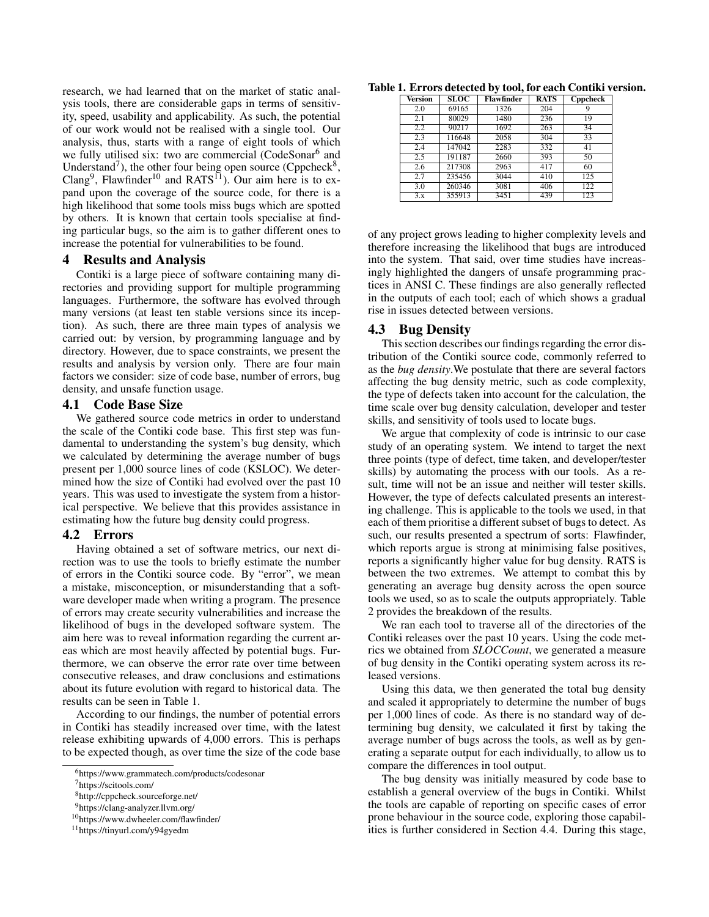research, we had learned that on the market of static analysis tools, there are considerable gaps in terms of sensitivity, speed, usability and applicability. As such, the potential of our work would not be realised with a single tool. Our analysis, thus, starts with a range of eight tools of which we fully utilised six: two are commercial (CodeSonar<sup>6</sup> and Understand<sup>7</sup>), the other four being open source (Cppcheck<sup>8</sup>, Clang<sup>9</sup>, Flawfinder<sup>10</sup> and RATS<sup>11</sup>). Our aim here is to expand upon the coverage of the source code, for there is a high likelihood that some tools miss bugs which are spotted by others. It is known that certain tools specialise at finding particular bugs, so the aim is to gather different ones to increase the potential for vulnerabilities to be found.

#### 4 Results and Analysis

Contiki is a large piece of software containing many directories and providing support for multiple programming languages. Furthermore, the software has evolved through many versions (at least ten stable versions since its inception). As such, there are three main types of analysis we carried out: by version, by programming language and by directory. However, due to space constraints, we present the results and analysis by version only. There are four main factors we consider: size of code base, number of errors, bug density, and unsafe function usage.

#### 4.1 Code Base Size

We gathered source code metrics in order to understand the scale of the Contiki code base. This first step was fundamental to understanding the system's bug density, which we calculated by determining the average number of bugs present per 1,000 source lines of code (KSLOC). We determined how the size of Contiki had evolved over the past 10 years. This was used to investigate the system from a historical perspective. We believe that this provides assistance in estimating how the future bug density could progress.

#### 4.2 Errors

Having obtained a set of software metrics, our next direction was to use the tools to briefly estimate the number of errors in the Contiki source code. By "error", we mean a mistake, misconception, or misunderstanding that a software developer made when writing a program. The presence of errors may create security vulnerabilities and increase the likelihood of bugs in the developed software system. The aim here was to reveal information regarding the current areas which are most heavily affected by potential bugs. Furthermore, we can observe the error rate over time between consecutive releases, and draw conclusions and estimations about its future evolution with regard to historical data. The results can be seen in Table 1.

According to our findings, the number of potential errors in Contiki has steadily increased over time, with the latest release exhibiting upwards of 4,000 errors. This is perhaps to be expected though, as over time the size of the code base

Table 1. Errors detected by tool, for each Contiki version.

| Version | SLOC   | Flawfinder | <b>RATS</b> | <b>Cppcheck</b> |
|---------|--------|------------|-------------|-----------------|
| 2.0     | 69165  | 1326       | 204         | 9               |
| 2.1     | 80029  | 1480       | 236         | 19              |
| 2.2     | 90217  | 1692       | 263         | 34              |
| 2.3     | 116648 | 2058       | 304         | 33              |
| 2.4     | 147042 | 2283       | 332         | 41              |
| 2.5     | 191187 | 2660       | 393         | 50              |
| 2.6     | 217308 | 2963       | 417         | 60              |
| 2.7     | 235456 | 3044       | 410         | 125             |
| 3.0     | 260346 | 3081       | 406         | 122             |
| 3.x     | 355913 | 3451       | 439         | 123             |

of any project grows leading to higher complexity levels and therefore increasing the likelihood that bugs are introduced into the system. That said, over time studies have increasingly highlighted the dangers of unsafe programming practices in ANSI C. These findings are also generally reflected in the outputs of each tool; each of which shows a gradual rise in issues detected between versions.

#### 4.3 Bug Density

This section describes our findings regarding the error distribution of the Contiki source code, commonly referred to as the *bug density*.We postulate that there are several factors affecting the bug density metric, such as code complexity, the type of defects taken into account for the calculation, the time scale over bug density calculation, developer and tester skills, and sensitivity of tools used to locate bugs.

We argue that complexity of code is intrinsic to our case study of an operating system. We intend to target the next three points (type of defect, time taken, and developer/tester skills) by automating the process with our tools. As a result, time will not be an issue and neither will tester skills. However, the type of defects calculated presents an interesting challenge. This is applicable to the tools we used, in that each of them prioritise a different subset of bugs to detect. As such, our results presented a spectrum of sorts: Flawfinder, which reports argue is strong at minimising false positives, reports a significantly higher value for bug density. RATS is between the two extremes. We attempt to combat this by generating an average bug density across the open source tools we used, so as to scale the outputs appropriately. Table 2 provides the breakdown of the results.

We ran each tool to traverse all of the directories of the Contiki releases over the past 10 years. Using the code metrics we obtained from *SLOCCount*, we generated a measure of bug density in the Contiki operating system across its released versions.

Using this data, we then generated the total bug density and scaled it appropriately to determine the number of bugs per 1,000 lines of code. As there is no standard way of determining bug density, we calculated it first by taking the average number of bugs across the tools, as well as by generating a separate output for each individually, to allow us to compare the differences in tool output.

The bug density was initially measured by code base to establish a general overview of the bugs in Contiki. Whilst the tools are capable of reporting on specific cases of error prone behaviour in the source code, exploring those capabilities is further considered in Section 4.4. During this stage,

<sup>6</sup>https://www.grammatech.com/products/codesonar

<sup>7</sup>https://scitools.com/

<sup>8</sup>http://cppcheck.sourceforge.net/

<sup>9</sup>https://clang-analyzer.llvm.org/

<sup>10</sup>https://www.dwheeler.com/flawfinder/

<sup>11</sup>https://tinyurl.com/y94gyedm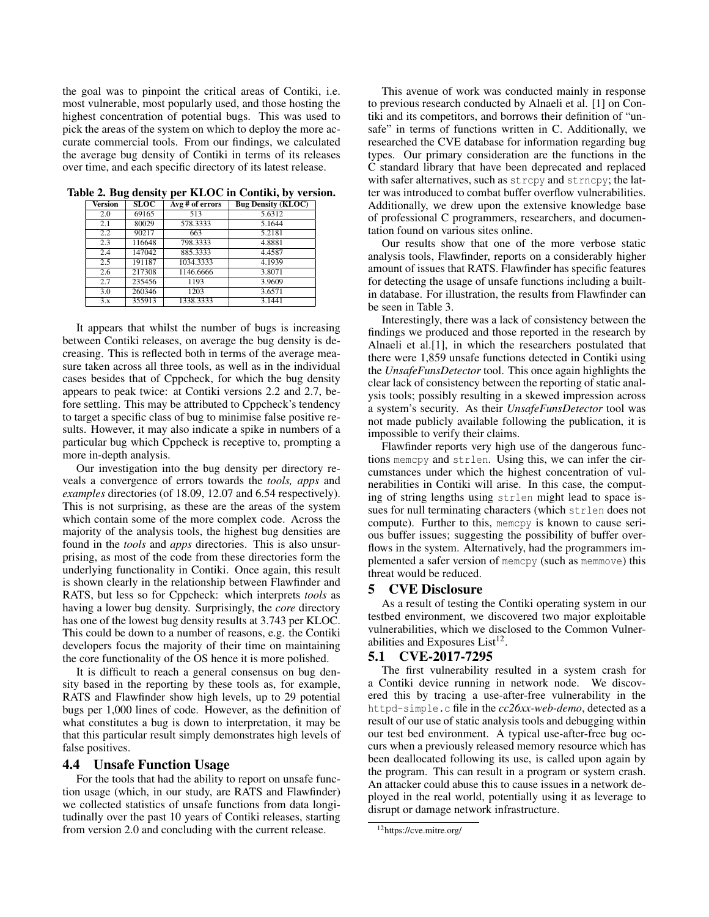the goal was to pinpoint the critical areas of Contiki, i.e. most vulnerable, most popularly used, and those hosting the highest concentration of potential bugs. This was used to pick the areas of the system on which to deploy the more accurate commercial tools. From our findings, we calculated the average bug density of Contiki in terms of its releases over time, and each specific directory of its latest release.

| <b>Version</b> | SLOC   | $\overline{Avg\#of}$ errors | <b>Bug Density (KLOC)</b> |
|----------------|--------|-----------------------------|---------------------------|
| 2.0            | 69165  | 513                         | 5.6312                    |
| 2.1            | 80029  | 578.3333                    | 5.1644                    |
| 2.2            | 90217  | 663                         | 5.2181                    |
| 2.3            | 116648 | 798.3333                    | 4.8881                    |
| 2.4            | 147042 | 885.3333                    | 4.4587                    |
| 2.5            | 191187 | 1034.3333                   | 4.1939                    |
| 2.6            | 217308 | 1146.6666                   | 3.8071                    |
| 2.7            | 235456 | 1193                        | 3.9609                    |
| 3.0            | 260346 | 1203                        | 3.6571                    |
| 3.x            | 355913 | 1338.3333                   | 3.1441                    |

Table 2. Bug density per KLOC in Contiki, by version.

It appears that whilst the number of bugs is increasing between Contiki releases, on average the bug density is decreasing. This is reflected both in terms of the average measure taken across all three tools, as well as in the individual cases besides that of Cppcheck, for which the bug density appears to peak twice: at Contiki versions 2.2 and 2.7, before settling. This may be attributed to Cppcheck's tendency to target a specific class of bug to minimise false positive results. However, it may also indicate a spike in numbers of a particular bug which Cppcheck is receptive to, prompting a more in-depth analysis.

Our investigation into the bug density per directory reveals a convergence of errors towards the *tools, apps* and *examples* directories (of 18.09, 12.07 and 6.54 respectively). This is not surprising, as these are the areas of the system which contain some of the more complex code. Across the majority of the analysis tools, the highest bug densities are found in the *tools* and *apps* directories. This is also unsurprising, as most of the code from these directories form the underlying functionality in Contiki. Once again, this result is shown clearly in the relationship between Flawfinder and RATS, but less so for Cppcheck: which interprets *tools* as having a lower bug density. Surprisingly, the *core* directory has one of the lowest bug density results at 3.743 per KLOC. This could be down to a number of reasons, e.g. the Contiki developers focus the majority of their time on maintaining the core functionality of the OS hence it is more polished.

It is difficult to reach a general consensus on bug density based in the reporting by these tools as, for example, RATS and Flawfinder show high levels, up to 29 potential bugs per 1,000 lines of code. However, as the definition of what constitutes a bug is down to interpretation, it may be that this particular result simply demonstrates high levels of false positives.

#### 4.4 Unsafe Function Usage

For the tools that had the ability to report on unsafe function usage (which, in our study, are RATS and Flawfinder) we collected statistics of unsafe functions from data longitudinally over the past 10 years of Contiki releases, starting from version 2.0 and concluding with the current release.

This avenue of work was conducted mainly in response to previous research conducted by Alnaeli et al. [1] on Contiki and its competitors, and borrows their definition of "unsafe" in terms of functions written in C. Additionally, we researched the CVE database for information regarding bug types. Our primary consideration are the functions in the C standard library that have been deprecated and replaced with safer alternatives, such as strepy and strnepy; the latter was introduced to combat buffer overflow vulnerabilities. Additionally, we drew upon the extensive knowledge base of professional C programmers, researchers, and documentation found on various sites online.

Our results show that one of the more verbose static analysis tools, Flawfinder, reports on a considerably higher amount of issues that RATS. Flawfinder has specific features for detecting the usage of unsafe functions including a builtin database. For illustration, the results from Flawfinder can be seen in Table 3.

Interestingly, there was a lack of consistency between the findings we produced and those reported in the research by Alnaeli et al.[1], in which the researchers postulated that there were 1,859 unsafe functions detected in Contiki using the *UnsafeFunsDetector* tool. This once again highlights the clear lack of consistency between the reporting of static analysis tools; possibly resulting in a skewed impression across a system's security. As their *UnsafeFunsDetector* tool was not made publicly available following the publication, it is impossible to verify their claims.

Flawfinder reports very high use of the dangerous functions memcpy and strlen. Using this, we can infer the circumstances under which the highest concentration of vulnerabilities in Contiki will arise. In this case, the computing of string lengths using strlen might lead to space issues for null terminating characters (which strlen does not compute). Further to this, memcpy is known to cause serious buffer issues; suggesting the possibility of buffer overflows in the system. Alternatively, had the programmers implemented a safer version of memcpy (such as memmove) this threat would be reduced.

#### 5 CVE Disclosure

As a result of testing the Contiki operating system in our testbed environment, we discovered two major exploitable vulnerabilities, which we disclosed to the Common Vulnerabilities and Exposures List $^{12}$ .

#### 5.1 CVE-2017-7295

The first vulnerability resulted in a system crash for a Contiki device running in network node. We discovered this by tracing a use-after-free vulnerability in the httpd-simple.c file in the *cc26xx-web-demo*, detected as a result of our use of static analysis tools and debugging within our test bed environment. A typical use-after-free bug occurs when a previously released memory resource which has been deallocated following its use, is called upon again by the program. This can result in a program or system crash. An attacker could abuse this to cause issues in a network deployed in the real world, potentially using it as leverage to disrupt or damage network infrastructure.

<sup>12</sup>https://cve.mitre.org/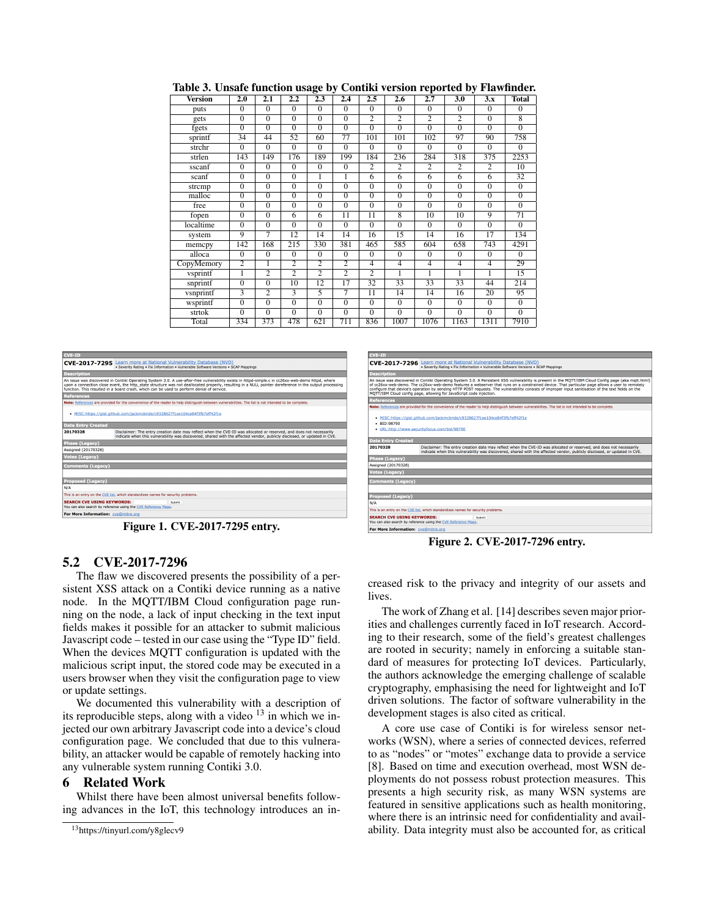| <b>Version</b> | 2.0            | 2.1            | 2.2                     | $\overline{2.3}$ | 2.4             | $\overline{2.5}$ | 2.6            | $\overline{2.7}$ | 3.0            | 3.x            | <b>Total</b>    |
|----------------|----------------|----------------|-------------------------|------------------|-----------------|------------------|----------------|------------------|----------------|----------------|-----------------|
| puts           | $\mathbf{0}$   | $\Omega$       | $\Omega$                | $\Omega$         | $\Omega$        | $\Omega$         | $\Omega$       | $\Omega$         | $\Omega$       | $\mathbf{0}$   | $\Omega$        |
| gets           | $\Omega$       | $\overline{0}$ | $\Omega$                | $\Omega$         | $\Omega$        | $\overline{2}$   | $\overline{2}$ | $\overline{2}$   | $\overline{c}$ | $\Omega$       | 8               |
| fgets          | $\overline{0}$ | $\overline{0}$ | $\overline{0}$          | $\overline{0}$   | $\overline{0}$  | $\overline{0}$   | $\overline{0}$ | $\overline{0}$   | $\overline{0}$ | $\overline{0}$ | $\overline{0}$  |
| sprintf        | 34             | 44             | 52                      | 60               | $\overline{77}$ | 101              | 101            | 102              | 97             | 90             | 758             |
| strchr         | $\Omega$       | $\Omega$       | $\Omega$                | $\Omega$         | $\Omega$        | $\Omega$         | $\Omega$       | $\Omega$         | $\Omega$       | $\Omega$       | $\Omega$        |
| strlen         | 143            | 149            | 176                     | 189              | 199             | 184              | 236            | 284              | 318            | 375            | 2253            |
| sscanf         | $\Omega$       | $\Omega$       | $\Omega$                | $\Omega$         | $\Omega$        | $\overline{c}$   | $\overline{c}$ | $\overline{c}$   | $\overline{c}$ | $\overline{c}$ | 10              |
| scanf          | $\Omega$       | $\Omega$       | $\Omega$                | 1                | 1               | 6                | 6              | 6                | 6              | 6              | 32              |
| strcmp         | $\overline{0}$ | $\overline{0}$ | $\overline{0}$          | $\overline{0}$   | $\overline{0}$  | $\overline{0}$   | $\overline{0}$ | $\overline{0}$   | $\overline{0}$ | $\overline{0}$ | $\overline{0}$  |
| malloc         | $\overline{0}$ | $\overline{0}$ | $\overline{0}$          | $\overline{0}$   | $\overline{0}$  | $\overline{0}$   | $\overline{0}$ | $\overline{0}$   | $\overline{0}$ | $\overline{0}$ | $\overline{0}$  |
| free           | $\overline{0}$ | $\overline{0}$ | $\overline{0}$          | $\overline{0}$   | $\overline{0}$  | $\overline{0}$   | $\overline{0}$ | $\overline{0}$   | $\overline{0}$ | $\overline{0}$ | $\overline{0}$  |
| fopen          | $\overline{0}$ | $\overline{0}$ | 6                       | 6                | 11              | $\overline{11}$  | $\overline{8}$ | 10               | 10             | $\overline{9}$ | $\overline{71}$ |
| localtime      | $\overline{0}$ | $\overline{0}$ | $\overline{0}$          | $\overline{0}$   | $\overline{0}$  | $\overline{0}$   | $\overline{0}$ | $\overline{0}$   | $\overline{0}$ | $\overline{0}$ | $\overline{0}$  |
| system         | 9              | 7              | 12                      | 14               | 14              | 16               | 15             | 14               | 16             | 17             | 134             |
| memcpy         | 142            | 168            | 215                     | 330              | 381             | 465              | 585            | 604              | 658            | 743            | 4291            |
| alloca         | $\Omega$       | $\overline{0}$ | $\overline{0}$          | $\overline{0}$   | $\overline{0}$  | $\overline{0}$   | $\overline{0}$ | $\overline{0}$   | $\Omega$       | $\overline{0}$ | $\overline{0}$  |
| CopyMemory     | $\overline{2}$ | 1              | $\overline{2}$          | $\overline{2}$   | $\overline{2}$  | $\overline{4}$   | $\overline{4}$ | $\overline{4}$   | $\overline{4}$ | $\overline{4}$ | 29              |
| vsprintf       | $\overline{1}$ | $\overline{2}$ | $\overline{2}$          | $\overline{2}$   | $\overline{2}$  | $\overline{2}$   |                | 1                | 1              | 1              | $\overline{15}$ |
| snprintf       | $\overline{0}$ | $\overline{0}$ | 10                      | 12               | 17              | 32               | 33             | 33               | 33             | 44             | 214             |
| vsnprintf      | 3              | $\overline{2}$ | $\overline{\mathbf{3}}$ | 5                | 7               | 11               | 14             | 14               | 16             | 20             | 95              |
| wsprintf       | $\overline{0}$ | $\overline{0}$ | $\Omega$                | $\Omega$         | $\Omega$        | $\Omega$         | $\Omega$       | $\Omega$         | $\Omega$       | $\Omega$       | $\Omega$        |
| strtok         | $\overline{0}$ | $\overline{0}$ | $\overline{0}$          | $\overline{0}$   | $\overline{0}$  | $\overline{0}$   | $\overline{0}$ | $\overline{0}$   | $\overline{0}$ | $\overline{0}$ | $\overline{0}$  |
| Total          | 334            | 373            | 478                     | 621              | 711             | 836              | 1007           | 1076             | 1163           | 1311           | 7910            |

Table 3. Unsafe function usage by Contiki version reported by Flawfinder.



Figure 1. CVE-2017-7295 entry.

#### 5.2 CVE-2017-7296

The flaw we discovered presents the possibility of a persistent XSS attack on a Contiki device running as a native node. In the MQTT/IBM Cloud configuration page running on the node, a lack of input checking in the text input fields makes it possible for an attacker to submit malicious Javascript code – tested in our case using the "Type ID" field. When the devices MQTT configuration is updated with the malicious script input, the stored code may be executed in a users browser when they visit the configuration page to view or update settings.

We documented this vulnerability with a description of its reproducible steps, along with a video  $^{13}$  in which we injected our own arbitrary Javascript code into a device's cloud configuration page. We concluded that due to this vulnerability, an attacker would be capable of remotely hacking into any vulnerable system running Contiki 3.0.

#### 6 Related Work

Whilst there have been almost universal benefits following advances in the IoT, this technology introduces an in-

|                                                                                                               | <b>CVE-ID</b>                                                                                                                                                                                                                                                                                                                                                                                                                                                                                                                         |  |  |  |  |  |
|---------------------------------------------------------------------------------------------------------------|---------------------------------------------------------------------------------------------------------------------------------------------------------------------------------------------------------------------------------------------------------------------------------------------------------------------------------------------------------------------------------------------------------------------------------------------------------------------------------------------------------------------------------------|--|--|--|--|--|
| CVE-2017-7296                                                                                                 | Learn more at National Vulnerability Database (NVD)<br>. Severity Rating . Fix Information . Vulnerable Software Versions . SCAP Mappings                                                                                                                                                                                                                                                                                                                                                                                             |  |  |  |  |  |
| <b>Description</b>                                                                                            |                                                                                                                                                                                                                                                                                                                                                                                                                                                                                                                                       |  |  |  |  |  |
|                                                                                                               | An issue was discovered in Contiki Operating System 3.0. A Persistent XSS vulnerability is present in the MOTT/IBM Cloud Config page (aka mgtt.html)<br>of cc26xx-web-demo. The cc26xx-web-demo features a webserver that runs on a constrained device. That particular page allows a user to remotely<br>configure that device's operation by sending HTTP POST requests. The vulnerability consists of improper input sanitisation of the text fields on the<br>MOTT/IBM Cloud config page, allowing for JavaScript code injection. |  |  |  |  |  |
| <b>References</b>                                                                                             |                                                                                                                                                                                                                                                                                                                                                                                                                                                                                                                                       |  |  |  |  |  |
|                                                                                                               | Note: References are provided for the convenience of the reader to help distinguish between vulnerabilities. The list is not intended to be complete.                                                                                                                                                                                                                                                                                                                                                                                 |  |  |  |  |  |
| $-BID:98790$                                                                                                  | MISC:https://gist.github.com/iackmcbride/c9328627f1ee104ce84f3fb7eff42f1e<br>. URL:http://www.securityfocus.com/bid/98790                                                                                                                                                                                                                                                                                                                                                                                                             |  |  |  |  |  |
| <b>Date Entry Created</b>                                                                                     |                                                                                                                                                                                                                                                                                                                                                                                                                                                                                                                                       |  |  |  |  |  |
| 20170328                                                                                                      | Disclaimer: The entry creation date may reflect when the CVE-ID was allocated or reserved, and does not necessarily<br>indicate when this vulnerability was discovered, shared with the affected vendor, publicly disclosed, or updated in CVE.                                                                                                                                                                                                                                                                                       |  |  |  |  |  |
| <b>Phase (Legacy)</b>                                                                                         |                                                                                                                                                                                                                                                                                                                                                                                                                                                                                                                                       |  |  |  |  |  |
| Assigned (20170328)                                                                                           |                                                                                                                                                                                                                                                                                                                                                                                                                                                                                                                                       |  |  |  |  |  |
| <b>Votes (Legacy)</b>                                                                                         |                                                                                                                                                                                                                                                                                                                                                                                                                                                                                                                                       |  |  |  |  |  |
| <b>Comments (Legacy)</b>                                                                                      |                                                                                                                                                                                                                                                                                                                                                                                                                                                                                                                                       |  |  |  |  |  |
|                                                                                                               |                                                                                                                                                                                                                                                                                                                                                                                                                                                                                                                                       |  |  |  |  |  |
| <b>Proposed (Legacy)</b>                                                                                      |                                                                                                                                                                                                                                                                                                                                                                                                                                                                                                                                       |  |  |  |  |  |
| N/A                                                                                                           |                                                                                                                                                                                                                                                                                                                                                                                                                                                                                                                                       |  |  |  |  |  |
| This is an entry on the CVE list, which standardizes names for security problems.                             |                                                                                                                                                                                                                                                                                                                                                                                                                                                                                                                                       |  |  |  |  |  |
| <b>SEARCH CVE USING KEYWORDS:</b><br>Submit<br>You can also search by reference using the CVE Reference Maps. |                                                                                                                                                                                                                                                                                                                                                                                                                                                                                                                                       |  |  |  |  |  |
|                                                                                                               | For More Information: cye@mitre.org                                                                                                                                                                                                                                                                                                                                                                                                                                                                                                   |  |  |  |  |  |
|                                                                                                               |                                                                                                                                                                                                                                                                                                                                                                                                                                                                                                                                       |  |  |  |  |  |

Figure 2. CVE-2017-7296 entry.

creased risk to the privacy and integrity of our assets and lives.

The work of Zhang et al. [14] describes seven major priorities and challenges currently faced in IoT research. According to their research, some of the field's greatest challenges are rooted in security; namely in enforcing a suitable standard of measures for protecting IoT devices. Particularly, the authors acknowledge the emerging challenge of scalable cryptography, emphasising the need for lightweight and IoT driven solutions. The factor of software vulnerability in the development stages is also cited as critical.

A core use case of Contiki is for wireless sensor networks (WSN), where a series of connected devices, referred to as "nodes" or "motes" exchange data to provide a service [8]. Based on time and execution overhead, most WSN deployments do not possess robust protection measures. This presents a high security risk, as many WSN systems are featured in sensitive applications such as health monitoring, where there is an intrinsic need for confidentiality and availability. Data integrity must also be accounted for, as critical

<sup>13</sup>https://tinyurl.com/y8glecv9